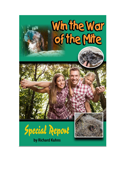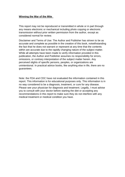# **Winning the War of the Mite**

This report may not be reproduced or transmitted in whole or in part through any means electronic or mechanical including photo copying or electronic transmission without prior written permission from the author, except as considered normal for review.

Disclaimer and Terms of Use: The Author and Publisher has striven to be as accurate and complete as possible in the creation of this book, notwithstanding the fact that he does not warrant or represent at any time that the contents within are accurate due to the rapidly changing nature of the subject matter. While all attempts have been made to verify information provided in this publication, the Author and Publisher assumes no responsibility for errors, omissions, or contrary interpretation of the subject matter herein. Any perceived slights of specific persons, peoples, or organizations are unintentional. In practical advice books, like anything else in life, there are no guarantees.

Note: the FDA and CDC have not evaluated the information contained in this report. This information is for educational purposes only. This information is in no way considered to be a diagnosis, treatment, or cure for any disease. Please see your physician for diagnosis and treatment. Legally, I must advise you to consult with your doctor before starting the diet or accepting any recommendations in this report to make sure they do not interfere with any medical treatment or medical condition you have.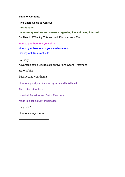# **Table of Contents**

**Five Basic Goals to Achieve** 

#### **Introduction**

**Important questions and answers regarding life and being infected.** Be Ahead of Winning This War with Diatomaceous Earth

**How to get them out your skin**

# **How to get them out of your environment**

Dealing with Resistant Mites

Laundry

Advantage of the Electrostatic sprayer and Ozone Treatment

Automobile

Disinfecting your home

How to support your immune system and build health

Medications that help

Intestinal Parasites and Detox Reactions

Meds to block activity of parasites

King Diet™

How to manage stress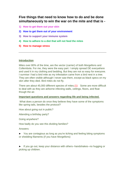# **Five things that need to know how to do and be done simultaneously to win the war on the mite and that is -**

- **1) How to get them out your skin**
- **2) How to get them out of your environment**
- **3) How to support your immune system**
- **4) How to adhere to a diet that will not feed the mites**
- **5) How to manage stress**

## **Introduction**

Mites over 80% of the time, are the vector (carrier) of both Morgellons and Collembola. For me, they were the easy part. I simply spread DE everywhere and used it in my clothing and bedding. But they are not so easy for everyone. I surmise I had a bird mite as my infestation came from a bird nest in a tree. They are often visible although I never saw them, except as black specs on my skin after they died. Bird mites do not fly.

There are about 45,000 different species of mites.(1) Some are more difficult to deal with as they are airborne infecting walls, ceilings, floors, and float though the air.

## **Important questions and answers regarding life and being infected.**

What does a person do once they believe they have some of the symptoms like spring tails, besides the protocol?

How about going out in public?

Attending a birthday party?

Going anywhere?

How badly do you see this dividing families?

Answers:

► You are contagious as long as you're itching and feeling biting symptoms or shedding filaments (if you have Morgellons)

► If you go out, keep your distance with others--handshakes--no hugging or picking up children.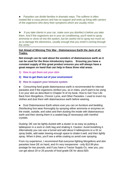► Parasites can divide families in dramatic ways. The sufferer is often treated like a crazy person and has no support and ends up living with carriers of the organisms who deny their symptoms which are usually minor.

► If you take clients in your car, make sure you disinfect it before you take them. And if the organisms are in your air conditioning, you'll need to spray ammonia or clove oil into the system, but be careful not to spray too much so as to damage the electronics, usually enough that you smell it coming through the vents."

# **Get Ahead of Winning This War - Diatomaceous Earth the Jack of all Trades.**

**Not enough can be said about the wonders of diatomaceous earth as it can be used for the three introductory topics. Ensuring you have a constant supply of this great product ensures you will always have a great weapon on hand that can help in these three vital areas.**

- **1) How to get them out your skin**
- **2) How to get them out of your environment**
- **3) How to support your immune system**

► Consuming [food grade diatomaceous earth](https://parasitestore.com/shop/supplements/diatomaceous-earth-food-grade-2-lb.html) is recommended for internal parasites and if the organisms reinfect you, as in mites, you'll want to be using it on your skin as described in Chapter III of my book, How to Get Your Life Back from Morgellons, Chronic Lyme, and Other Parasites. I used to invert my clothes and dust them with diatomaceous earth before wearing.

►Dust [Diatomaceous Earth](https://theorganicskincare.com/collections/disinfection/products/diatomaceous-earth-food-grade-2-lb) *where ever you can on furniture and bedding. D*isinfecting foot wear thoroughly by spraying either ammonia or enzymes on the inside, outside, and soles and then dusting the inside with [diatomaceous](https://theorganicskincare.com/collections/disinfection/products/diatomaceous-earth-food-grade-2-lb)  [earth](https://theorganicskincare.com/collections/disinfection/products/diatomaceous-earth-food-grade-2-lb) and then storing them in a sealed bag (if necessary) with [menthol](https://theorganicskincare.com/collections/disinfection/products/natures-gift%C2%AE-menthol-crystals)  [crystals.](https://theorganicskincare.com/collections/disinfection/products/natures-gift%C2%AE-menthol-crystals)

Dusting: DE can be lightly dusted with a duster or as easy as putting a tablespoon in a sock or cloth bag and shaking it. Caution: Avoid breathing it. Alternatively you can use a funnel and add about 4 tablespoons to a 32 oz spray bottle, add water leaving enough space to shake it well, and then lightly spray. When it dries, you'll see a white coating so avoid over spraying.

From my experience, I recommend that everyone fighting [Morgellons](https://bestmorgellonscure.com/) and skin parasites have DE on hand, and it's very inexpensive - only \$10.99 plus postage for two pounds, and if you have a Tractor Supply Co. near you, you can get about 20 or 25 pounds of food grade DE for about \$20.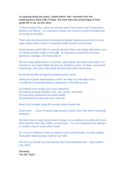I'm passing along the email, copied below, that I received from the Diatomaceous Earth (DE) People. We have their two pound bags of [food](https://theorganicskincare.com/collections/disinfection/products/diatomaceous-earth-food-grade-2-lb)  [grade DE](https://theorganicskincare.com/collections/disinfection/products/diatomaceous-earth-food-grade-2-lb) in our on-line store.

*"In these trying times, many are worried about how they'll cope if exposed to disease and illness. It's important to keep your immune system boosted and as strong as possible.*

*That's why we recommend including food grade Diatomaceous Earth in your daily routine which results in amazing health benefits for the body.*

*Diatomaceous earth (DE) is a gentle abrasive that's also highly absorbent, and it's almost entirely made of* [silica](https://www.ncbi.nlm.nih.gov/pubmed/17435951) **(4)** *- an important component of human ligaments, cartilage, and musculature.*

*DE has many applications in cosmetic, agricultural, and cleansing realms. It's included in our Super MSM Gel and our Exfoliant cream. It's been researched extensively, and some interesting benefits have been discovered*.

►*Internal benefits of ingesting diatomaceous earth.*

*Taking food grade diatomaceous earth can help you internally and is considered an amazing dietary supplement. It benefits you by:*

- *(1) helping move things out of your intestines*
- *(2) helping promote healthier hair, skin, bones, and joints*
- *(3) improving cholesterol and heart health*
- *(4) providing the body with trace minerals*

*Many that consider trying DE wonder what it tastes like.*

*Good news... If you're eating Diatomaceous Earth, you'll see that it's basically tasteless!*

*DE does have a rough, gritty texture though, so try adding it to a drink with more flavor (lactose free milk, coffee, or even tea!). You can experiment by adding it to chicken soup or some other foods.* 

*So, if you're looking for ways to improve your overall health, consider adding food grade diatomaceous earth to your diet.*

*We wish you all the very best during this unprecedented time. Stay healthy, stay safe!"*

Sincerely, The DE Team"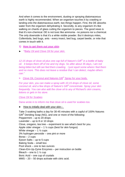And when it comes to the environment, dusting or spraying diatomaceous earth is highly recommended. When an organism touches it by crawling or landing onto the diatomaceous earth, two things happen. First, the DE absorbs water from the organism dehydrating it. Secondly, to any organism it's like walking on chards of glass cutting the organism to pieces. The good news is that it's non-chemical. DE is not toxic like ammonia - no poisons nor a chemical. The only downside is that it's a white visible powder. But it destroys mites, Collembola, bed bugs, ants - every insect, bed bug, carpet beetle, or mite that comes in touch with it.

**1) How to get them out your skin**

► *"Baby Oil and Clove Oil for your skin.*

*12-15 drops of clove oil plus one cap full of Nature's Gift® in a bottle of baby oil. It keeps them off of me and my dogs. So after about 35 days, I am not being bitten but still can feel them crawling. I just squirt some where I feel them and no more. This does not leave a residue that I can detect, maybe others can."*

**>** Clove Oil, Coconut and Natures Gift*®* Spray for your body.

*For your skin, you can make a spray with 10-15 drops of clove oil, some coconut oil, and a few drops of Nature's Gift® concentrate. Spray your skin frequently. You can also add the clove oil to any of Richard's skin creams, lotions or gels in his store.*

*Clove Oil for Scabies*

Dana wrote in to inform me that [clove oil is used for scabies](http://www.qimrberghofer.edu.au/2010/09/clove-oil-for-itchy-rash/) too.

# ►How to initially deal with your skin--

Take 3 soaking baths a day for 30-45 minutes with a capful of 100% Natures Gift<sup>®</sup> Deriding Soap (NG), and one or more of the following: Peppermint – up to 20 drops Lavender – up to 8 or 10 drops Clove, oregano, tea tree – experiment to see what's best for you. Apple cider vinegar  $-1\frac{1}{2}$  cups (best for skin fungus) White vinegar  $-1\frac{1}{2}$  cups 3% hydrogen peroxide – one pint or more Borax  $-2$  cups Epson Salts – up to 5 cups Baking Soda – small box Pool shock – one to two ounces Clean-Em-Up-Zyme Enzymes – per instruction on bottle Bleach – one to 1  $\frac{1}{2}$  cup Boric Acid – one cup of crystals MMS – 20 – 50 drops activate with citric acid.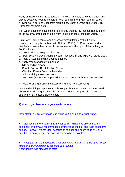Many of these can be mixed together, however vinegar, peroxide bleach, and baking soda you need to be careful what you mix them with. See my book, "How to Get Your Life Back from Morgellons, Chronic Lyme and Other Skin Parasites" for more detail.

Tip: When adding the essential oils, first add them to NG concentrate and then to the bath water to keep the oils from floating on top of the bath water.

Skin Care: While some report success without taking baths, I highly recommend using the bathtub with Nature's Gift<sup>®</sup> (NG) Concentrate and a disinfectant--use a few drops of concentrate as a shampoo. After bathing for 30-40 minutes:

- 1. shower with bar soap and blot dry.
- 2. Apply Beauty Forever Xfoliant cream, massage in, and wipe with damp cloth.
- 3. Apply Diluted Debriding Soap and let dry
- 4. Apply cream or gel of your choice NG debriding cream Beauty Forever Revitalization Cream Claudia's Dream Cream w lavender NG debriding cream with cedar MSM Gel (Regular or Super (with diatomaceous earth, NG concentrate).
- **>** How to kill organisms and keep skin fungus from spreading.

Use the debriding soap in your bath along with any of the disinfectants listed above. For skin fungus, use either 8 or 10 drops of oregano oil or a cup to a cup and a half of apple cider vinegar.

# **2) How to get them out of your environment**

*Cost effective ways of dealing with mites in the home and what works.*

► Disinfecting the organism from your surroundings has always been a challenge. I've always recommended ammonia as the first and least expensive choice. However, it's not ideal because of its odor and neuro toxicity. Boric acid has been also used but doesn't seem to be a favorite.

► *"I couldn't get the cupboards clear in my little apartment, and I used nuvan strips and after 3 days they are mite free." Robin Alternatively, use menthol crystals.*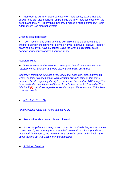►"Remeber to put vinyl zippered covers on mattresses, box springs and pillows. You can also put novan strips inside the vinyl mattress covers on the bottom and they will kill anything in there. It makes a huge difference." Robin Alternatively, use menthol crystals*.* 

# Chlorine as a disinfectant

► I don't recommend using anything with chlorine as a disinfectant other than for putting in the laundry or disinfecting your bathtub or shower - -not for anything else. If you have a Jacuzzi, using the wrong disinfectant could damage your Jacuzzi and void your warranty.

# Resistant Mites

► *"It takes an incredible amount of energy and persistence to overcome resistant mites. It's important to be diligent and totally persistent.*

*Generally, things like pine sol, Lysol, or alcohol does very little. If ammonia works, consider yourself lucky. With resistant mites it's important to rotate products. I ended up using the triple pesticide and permethrin 10% spray. The triple pesticide is explained in Chapter III of Richard's book "How to Get Your Life Back"(2) It's three ingredients are Onslaught, Exponent, and IGR mixed together." Robin*

► *Mites hate Clove Oil*

*I have recently found that mites hate clove oil.* 

**Roxie writes about ammonia and clove oil.** 

► *"I was using the ammonia you recommended to disinfect my house, but the more I used it, the more my house smelled. I have all oak flooring and lots of woodwork in my house, the ammonia was removing some of the finish. I tried a sulfur mixture but was worse than the ammonia.*

►A Natural Solution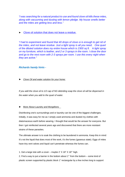*"I was searching for a natural product to use and found clove oil kills these mites, along with vacuuming and dusting with lemon pledge. My house smells better and the mites are getting less and less."* 

►Clove oil solution that does not leave a residue.

*"I had to experiment and found that 40 drops of clove oi is enough to get rid of the mites, and not leave residue. Just a light spray is all you need. One quart of the diluted solution does my entire house which is 2300 sq ft.* A *light spray on my furniture, which is leather, and 2 or 3 sprays in the room. I close the door*  and go to the next room with 2-3 sprays per room. I use this every night when *they are active."*

## *Richards handy hints -*

*► Clove Oil and water solution for your home:*

*If you add the clove oil to 1/2 cap [of NG debriding soap](https://parasitestore.com/debriding-soap.html) the clove oil will be dispersed in the water when you add to the quart of water.*

## ►More About Laundry and Morgellons

Disinfecting one's surroundings and or laundry can be one of the biggest challenges. Initially, it was easy for me as I simply used ammonia and dusted my clothes with diatomaceous earth before wearing. I thought that would be the answer for everyone. But then I got reinfected several years ago and discovered that there are more resistant strains of these parasites.

The ultimate answer is to soak the clothing to be laundered in ammonia. Keep this in mind: It's not the liquid that does most of the work, it's the fumes (gaseous state). Eggs of mites have tiny vent valves and liquid can't penetrate whereas the fumes can.

1. Get a large tote with a cover – maybe 2' X 18" X 18"' high.

2. Find a way to put a barrier in the bottom about 1"' from the bottom – some kind of plastic screen supported by plastic block 1" rectangular by a few inches long to support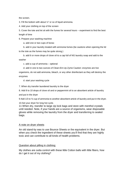the screen.

3. Fill the bottom with about ½" or so of liquid ammonia.

4. Add your clothing on top of the screen

5. Cover the tote and let sit with the fumes for several hours – experiment to find the best length of time

6. Prepare your washing machine

a. add one or two cups of borax

 b. add in your laundry treated with ammonia fumes (be cautions when opening the lid to the tote as the fumes may be quite strong.)

 b. add 6 or more drops of clove oil to a cap full of NG laundry soap and add to the washer

c. add a cup of ammonia – optional

 d. add in one to two ounces of Clean-Em-Up Zyme Caution: enzymes are live organisms, do not add ammonia, bleach, or any other disinfectant as they will destroy the enzymes

d. start your washing cycle

7. When dry transfer laundered laundry to the dryer

8. Add 8 to 10 drops of clove oil and or peppermint oil to an absorbent article of laundry

and put in the dryer

9 Add 1/3 to ¾ cup of ammonia to another absorbent article of laundry and put in the dryer.

10.Set your dryer for long hot cycle.

11 When dry, transfer to large zip lock bags and store with menthol crystals until needed. Note, if your hands are a source of organisms, wear disposable gloves while removing the laundry from the dryer and transferring to sealed bags.

#### A note on dryer sheets

An old stand-by was to use Bounce Sheets or the equivalent in the dryer. But when you check the ingredient of these sheets you'll find that they are highly toxic and can contribute to all kinds of health problems.

#### Question about pilling in clothing:

My clothes are outta control with these little Cotton balls with little fibers, how do I get it out of my clothing?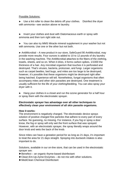## Possible Solutions:

► Use a lint roller to clean the debris off your clothes. Disinfect the dryer with ammonia—see section above re laundry.

► Invert your clothes and dust with Diatomaceous earth or spray with ammonia and then turn right side out.

► You can also try MMS Miracle mineral supplement in your washer but not with ammonia. Use one or the other but not both.

► AntiMicrobial – A new product in our store, SafeGuard 90 AntiMicrobial, may provide more results. Four ounces is added to 10 to 12 pounds of dry laundry in the washing machine. The AntiMicrobial attaches to the fibers of the clothing, towels, sheets, and so on. When it dries, it forms carbon spikes, 1/1000 the thickness of a hair. Any microbial organism that touches it is perforated and destroyed. That's viruses, bacteria, protozoan, and fungi. Larger organisms such as carpet beetles, bed bugs, and mites are too large to be destroyed, however, it's possible that these organisms might be destroyed right after being hatched. Experience will tell. Nonetheless, fungal organisms that often accompany mites and other skin parasites are destroyed. One treatment is usually sufficient for the life of your clothing/bedding. You can also spray your dryer with it.

► Hang your clothes in a closet and run the ozone generator for a half hour or spray them with the electrostatic sprayer.

# **Electrostatic sprayer has advantage over all other techniques to effectively clean your environment of all skin parasite organisms.**

## **How it works:**

The environment is negatively charged. The electrostatic device sprays solution of positive charged fine particles that adhere to every part of every surface. No guessing, no missing. For instance, if you fog or spray a door know, the fog or spray will only wet the front surface that was sprayed. However, with an electrostatic sprayer, the spray literally wraps around the door knob and wets the back of the knob.

Since mites can have a gestation period for as long as 21 days, it's important to treat the area for 21 days straight. Spraying into ductwork intakes is also important to do.

Solutions, available in our on-line store, that can be used in the electrostatic sprayer are:

- ►Benefect an organic thyme-based disinfectant
- ►Clean-Em-Up-Zyme Enzymes do not mix with other solutions.
- ►MediClean Chemical Disinfectant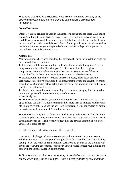►Surface Guard 90 Anti-Microbial. Note this can be mixed with any of the above disinfectants and per the previous explanation is only needed infrequently

# **Ozone Treatment**

Ozone Treatment can also be used in the home. The ozone unit produces 5,000 mg/hr and is good for 500 square feet. For larger spaces, use multiple units and space them apart. Close windows and doors when using. Set the timer of ½ hr on, one hr off, ½ hr on, one hr off, and ½ hr on and then off, After 15 min open doors and windows to clear the ozone. Because the gestation period of some mites is 21 days. It's important to repeat the treatment daily for 21 days.

## **Automobiles**

Many automobiles have been abandoned or discarded because the infestation could not be removed. Treat as follows:

► Every automobile has a cabin filter in the circulation ventilation system. The fist thing to do it to have this filter changed. It's often located behind the glove compartment. Youtube videos are available to instruct you. I suspect failure t to change this filter is the main reason why most autos can't be disinfected.

► disinfect with ammonia by spraying under dash board, under seats, console, dashboard, seats, safety belts, doors, head liner, steering wheel and column, floor area around petals 20 minutes before getting into the car for the ammonia odor to dissipate and after you get out of the car.

► disinfect air circulation system by setting to recirculate and spray into the interior intake until you smell ammonia coming out of the vents. Alternatively use:

► Ozone can also be used in your automobile for 21 days. Although some use it for up to an hour at a time, it's not recommended for more than 15 minutes on, thirty min off, 15 on, thirty off, 15 on and the off. Have the internal circulation system on during the treatment so the ozone will go into the duct work.

► Electrostatic Sprayer is the fastest and quickest way to disinfect. It takes about ten seconds to point the sprayer in the general directions and spray with the fan on the air circulation system on. Again, when you get out of the car and a minute or two before you get in to drive the car.

## **>** Different approaches that work for different people.

Laundry is a challenge and here are some approaches that work for some people. Which ever one you try, treat your clothing with Surface Guard 90 Anti-Microbial by adding 4 oz of the ready to use material for each 10 to 12 pounds of dry clothing with any of the following approaches. Remember, you only need to treat your clothing one time with the Surface Guard 90 antimicrobial.

*►"For resistant problems with laundry, I created a soap that works great for me after many failed attempts. I use an empty bottle of NG shampoo*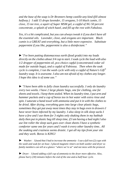*and the base of the soap is Dr Bronners hemp castille-any kind (fill almost halfway.) I add 15 drops lavender, 15 oregano, 5-10 black cumin, 15 clove, 15 tee tree, a squirt of Super MSM gel, a capful of NG 50 percent concentrate, a splash of witch hazel, and fill up the rest with Fabuloso.*

*Yes, it's a bit complicated, but you can always tweak it if you don't have all the essential oils. Lavender, clove, and oregano are important. Black cumin is a GREAT anti-everything, but a little more expensive. Substitute peppermint if you like, peppermint is also a disinfectant."*

*►"I've been putting diatomaceous earth (food grade) into my loads directly on the clothes about 3/4 cup to start. I soak cycle the load with also 1/2 dropper of peppermint oil, pco choice capful (concentrated cedar oil made for outside bugs), and a capful of Fabiossa. Then when the soak cycle is complete, I run the wash cycle with only a capful of Nature's Gift® laundry soap. It is awesome. I also am not afraid of my clothes any longer. I hope this idea is of some use."*

► *"I have been able to fully clean laundry successfully. I only do laundry every two weeks. I have 2 large plastic bags, one for clothing, one for sheets and towels. I keep them sealed. When its laundry time, I put arm and hammer packets and a cup of borax too in hot water with extra rinse and spin. I saturate a hand towel with ammonia and put it in with the clothes to be dried. After drying, everything goes into large clear plastic bags, sometimes they get put away most times they stay in bags even in drawers I have never been infected by my laundry. I also sleep in silk sleep sacks I have a few and I use them for 3 nights only shaking them in my bathtub daily then put in plastic bag till sleep time, if I am having a bad night I also use lint roller the sleep sack goes over clean sheets I have a synthetic comforter same one for years and I wash it every other laundry time.. All the soaking and craziness seems drastic. I got all my tips from your site and they work. Borax is KING!*

► *Washer: I found that I had to increase the ammonia - I use a full two (2) cups with the wash and soak for an hour. I placed magnetic timers on both washer and dryer so family members can tell at a glance "where we're at" and not mess with the protocol.*

► *Dryer: I found adding a full cup of ammonia to the dryer more effective. Also, please hurry (30) minutes before the end of the one-and-a-half hour cycle.*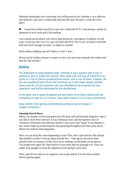*Although annoyingly time consuming, the rolling process for clothing is very effective and made for a far more comfortable and peaceful day, therefore, worth the extra effort.*

► *I would have killed myself if it wasn't for Cedarcide PCO. I was putting 1 gallon of ammonia in each wash and it did nothing.*

*I use a good sturdy plastic tote with a tight-fitting lid. I put approx. 8 gallons of cold water in the tote and 1-to-11/2 cups of Cedarcide PCO. Stir it well. It needs to look like milk and smell strongly of cedar, so adjust as needed.*

*Soak clothes, bedding, and all clothes in it for 1 hour.*

*Wring out the clothes and put in washer on the cycle and water temp for the clothes and then dry like normal."*

## **Bedding**

*"It's important to wash bedding daily. Presoak in your washer with a cup of ammonia, spin to empty the washer, then wash with 1/4 Cup of* [Clean-Em-Up](https://theorganicskincare.com/collections/disinfection/products/clean-um-up-zyme-super-concentrated-enzymes-9-oz)  [Zyme](https://theorganicskincare.com/collections/disinfection/products/clean-um-up-zyme-super-concentrated-enzymes-9-oz) *or 1 tsp of Clorox powdered pool shock, and a cup of borax. Caution: do not use powdered pool shock with ammonia as it will create deadly chlorine fumes and do not mix enzymes with any disinfectant as enzymes are live organisms and will be destroyed by the disinfectant. .*

*In the dryer use a spray of peppermint and clove oil on dryer sheets and dry everything on high for 1.5-2 hours. Also add in about 1 to 1.5 cups of ammonia.*

*keep clothes from getting reinfected by putting in zip lock bags or airtight containers."*

## **Opening Stored Boxes**

Robin, my Sunday co-host had gotten her life back and had basically forgotten what it was like to have been infected. It was Christmas time, and she opened a box of Christmas Ornaments that had been stored 3 years prior and "bang" it was Pandora's box which ended up reinfecting her and spreading throughout her three-story house before she realized what happened.

How can you keep this from happening to you? First, don't open the box but instead slip menthol crystals or Nuvan strips into the box – wear gloves that have been sprayed with an essential oil like clove oil so nothing can hitchhike on the gloves. You might even apply NG Skin lotion to your arms and not massage it in. Also you might wear googles to keep the organisms from going to your eyes.

Next, tape the box shut so no organism can escape and let if sit for three months before opening again.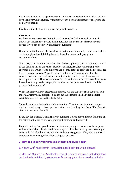Eventually, when you do open the box, wear gloves sprayed with an essential oil, and have a sprayer with enzymes, or Benefect, or Mediclean disinfectant to spray into the box as you open it.

Ideally, use the electrostatic sprayer to spray the contents.

#### **Furniture**

By the time most people suffering from skin parasites find me they have already thrown out thousands of dollars of furniture. But that doesn't necessarily have to happen if you can effectively disinfect the furniture.

Of course, if the furniture that you have is pretty much worn out, then why not get rid of it and replace it with folding lawn chairs and furniture until you get the environment free.

Otherwise, if the furniture has value, then the best approach is to use ammonia or one of our disinfectants or enzymes – Benefect or Mediclean. But rather than go the approach I did, which was to simply to use a spray bottle to apply the disinfectant, get the electrostatic sprayer. Why? Because it took me three months to realize the parasites had taken up residence in the tufted portion on the ends of my footrest. I never sprayed there. However, if at that time, I had known about electrostatic sprayers, I would have only needed to spray in the area and the spray would have found the parasites hiding in the tuft.

When you spray with the electrostatic sprayer, pull the couch or chair out away from the wall. Remove any cushions. You can put the cushions in a bag with menthol crystals or nuvan strips and tie the bag shut.

Spray the front and back of the chair or furniture. Then turn the furniture to expose the bottom and spray it. Don't put the chair or couch back against the wall but leave it about 8 or 10" from the wall.

Every day for at least 21 days, spray the furniture as done above. If there is netting on the bottom of the couch or chair, you might cut it out and remove it.

For the first few times you disinfect the furniture, wear gloves that have been sprayed with an essential oil like clove oil so nothing can hitchhike on the gloves. You might even apply NG Skin lotion to your arms and not massage it in. Also, you might wear googles to keep the organisms from going to your eyes.

## **3) How to support your immune system and build health**

1. Nature Gift® Multivitamin (formulated specifically for Lyme disease)

2. MaxOne Glutathione Accelerator--recent research indicates that Morgellons production is inhibited by glutathione. Boosting glutathione can dramatically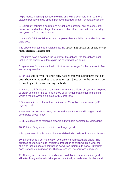helps reduce brain fog, fatigue, swelling and joint discomfort. Start with one capsule per day and go up to 8 per day if needed. Watch for detox reactions.

3. Garcillin™ (allicin) a natural anti fungal, anti-parasitic, anti bacterial, anti protozoan, and anti viral agent from our on-line store. Start with one per day and go up to 6 per day if needed.

4. Nature's Gift Ionic Minerals are completely bio-available, raise alkalinity, and balanced.

The above four items are available as the Pack of Life Pack in our on-line store at https://theorganicskincare.com/

If the mites have also been the vector for Morgellons, the Morgellons pack includes the above four items plus the following three items.

5.L-glutamine for intestinal health. It's the natural sugar for the mucosa to feed and strengthen them.

6. Ion is a soil-derived, scientifically backed mineral supplement that has been shown in lab studies to strengthen tight junctions in the gut wall, our firewall against toxins entering the body.

7. Nature's Gift® Chitosanase Enzyme Formula is a blend of systemic enzymes to break up chiten (the building blocks of all fungal organisms} and biofilm which almost always is an issue with Morgellons.

8 Boron – said to be the natural antidote for Morgellons approximately 30 mg/day total.

8 Serracor NK Systemic Enzymes to assimilate fibrin found in organs and other parts of your body.

9. MSM capsules to replenish organic sulfur that is depleted by Morgellons.

10. Calcium Decylex as a inhibitor for fungal growth.

All supplements in this protocol are available individually or in a monthly pack:

10. Lufenuron is a pet medication available in pharmaceutical grade. The purpose of lufenuron is to inhibit the production of chitin which is what the shells of insect eggs are comprised as well as their mouth parts. Lufenuron does not affect existing chitin. That's where we use chitinase enzymes.

11. Nitenpyram is also a pet medication available in pharmaceutical grade to kill mites living in the skin. Nitenpyram is actually a medication for fleas and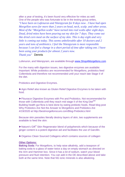after a year of testing, it's been found very effective for mites as well. One of the people who was fortunate to be in the testing group writes, *"I have been on Lufenuron and Nitenpyram for 8 days now . I have had open Morgellon sores for more than 2 years on head, neck, scalp. and other areas. Most of the "Morgellon scabs" have turned into real scabs after eight days. Dead, dried mites have been pouring out my skin for 7 days. They come out like dried corn meal on the surface of my skin. This is day eight and very little is coming out today. This seems unbelievable after 10 doctors and 2 years and tons of antibiotics. I feel the Nitenpyram is most responsible because I can feel a change in a short period of time after taking one. I have been using your products for almost 2 years now. Thank you"* Dennis

Lufenuron, and Nitenpyram, are available through [www.Shop4Morgellons.com](http://www.shop4morgellons.com/)

For the many with digestion issues, two digestive enzymes are available: Important: While probiotics are recommended for Morgellons, probiotics feed Collembola and therefore not recommended until your reach late Stage II of the diet.

Probiotics and Digestive Enzymes.

▶ Agro Relief also known as Gluten Relief Digestive Enzymes to be taken with food.

►Flouracor Digestive Enzymes with Pre and Probiotics. Not recommended for those with Collembola until they reach mid stage II of the King Diet<sup>SM</sup> Building health gut flora is best done by eating prebiotic foods. Read blog post Why Probiotics Are Not the Answer to Morgellons and Prebiotics Are 4/19/2020 at http://bestmorgellonscure.com/Blog-Prebiotics.html

Because skin parasites literally destroy layers of skin, two supplements are available to feed the skin:

 $\blacktriangleright$  Nature's Gift<sup>®</sup> [Skin Regenerator](https://parasitestore.com/shop/supplements/nature-s-giftr-skin-regenarator-and-digestive-aid-120-caps.html) blend of polyphenols which because of the ginger content is a potent digestive aid and facilitates the use of Garcillin.

►Organixx Clean Sourced Collagens which contains sources of collagen

#### **Other Options:**

**Baking Soda**: For Morgellons, to help raise alkalinity, add a teaspoon of baking soda to a glass of water twice a day on empty stomach as directed on the Arm and Hammer box. Since it has a lot of sodium, watch your blood pressure and fluid retention. You can add in the DE described above and take both at the same time. Note that NG ionic minerals is also alkalizing.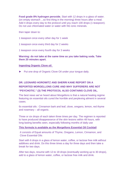**Food grade 8% hydrogen peroxide**, Start with 12 drops in a glass of water. (on empty stomach ...so first thing in the morning) three hours after a meal. Add 4 drops every day to the protocol until you reach 100 drops (1 teaspoon). Do not use chlorinated water or water with NG ionic minerals.

then taper down to:

- 1 teaspoon once every other day for 1 week
- 1 teaspoon once every third day for 2 weeks
- 1 teaspoon once every fourth day for 3 weeks

# **Warning: do not take at the same time as you take baking soda. Take them 20 minutes apart.**

## **Ingesting Organic Clove oil**

► Put one drop of Organic Clove Oil under your tongue daily.

# **DR. LEONARD HOROWITZ AND SHERRI KANE REPORT ON A REPORTED MORGELLONS CURE AND WHY SUFFERERS ARE NOT "PSYCHOTIC." (3) THE PROTOCOL ALSO CONTAINS CLOVE OIL.**

The best news we've heard about Morgellons is that a natural healing regime featuring six essential oils cured the horrible and perplexing ailment in several cases.

6x essential oils : Cinnamon bark and leaf, clove, oregano, lemon, red thyme and rosemary – all organic.

Three or six drops of each taken three times per day. The regimen is reported to have produced disappearance of the skin lesions within 48 hours, with long-lasting benefits seen, especially following months of daily use

## **This formula is available as the Morgellons Essential Oil Cocktail**

*It consists of* Equal amounts of Thyme, Oregano, Lemon, Cinnamon, and Clove Essential Oils

Start with 6 drops in a glass of lemon water, coffee, or lactose free milk without additives and drink. Do this three times a day for three days and then take a break for two days.

After two days, resume with 12-to 18 drops (eventually working up to 30 drops), add to a glass of lemon water, coffee, or lactose free milk and drink.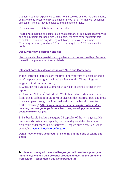Caution: You may experience burning from these oils as they are quite strong, so have plenty water to drink as a chaser. If you're not familiar with essential oils, taken like this, they are quite strong and taste terrible.

You may need to do this for up to six months.

**Please note** that the original formula has rosemary oil in it. Since rosemary oil can be a problem for those with Collembola, we have removed it from this formulation. If you are only dealing with Morgellons, you can purchase Rosemary separately and add 10 ml of rosemary to the 1.75 ounces of this bottle.

# **Use at your own discretion and risk.**

Use only under the supervision and guidance of a licensed health professional trained in the proper use of essential oils.

# **Intestinal Parasites also an issue with Mites and Morgellons**

In fact, intestinal parasites are the first thing you want to get rid of and it won't happen overnight. It will take a few months. Three things are suggested to do simultaneously:

1. Consume food grade diatomaceous earth as described earlier in this report

2. Consume Nature's® Gift Mouth Wash. Instead of carbon in charcoal form, this is carbon in liquid form. It cleanses the intestinal tract and most likely can pass through the intestinal walls into the blood stream for further cleansing. *80% of your immune system is in the colon and so cleaning out bad gut bugs is your key to empowering your immune system to work for you.*

3. Fenbendazole Dr. Luna suggests 24 capsules of the 444 mg size. He recommends taking one cap a day for three days and then four days off. You could order more, but he believes 24 caps is sufficient. Fen Ben is available at [www.Shop4Morgellons.com](http://www.shop4morgellons.com/)

**Detox Reactions are as a result of cleaning out the body of toxins and debris.** 

► **In overcoming all these challenges you will need to support your immune system and take powerful products to destroy the organism from within. When doing this it's important to:**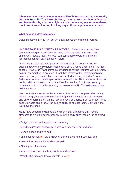**Whenever using supplements or meds like Chitosanase Enzyme Formula, MaxOne, GarcillinTM,, NG Mouth Wash, Diatomaceous Earth, or lufenuron and fenbendazole, you run a high risk of experiencing one or more detox reactions at some time while taking any of these supplements or meds.** 

## **What causes detox reactions?**

[Detox Reactions](https://www.bioray.com/news/post/understanding-a-detox-reaction.html) are no fun, but yet often necessary to make progress.

**UNDERSTANDING A "DETOX REACTION"** A detox reaction indicates toxins are being removed from the body faster than the main organs of elimination (bowels, liver, kidneys) can comfortably excrete. This often represents congestion in a bodily system.

Lyme disease was about to put me into a wheelchair around 2008. By adding [MaxOne,](https://theorganicskincare.com/collections/supplements/products/maxone%E2%84%A2-glutathione-accelerator-60-capsules) my symptoms decreased 95%. Around 2015, I took my first capsule of [Garcillin](https://theorganicskincare.com/collections/supplements/products/garcillin%E2%84%A2-capsules)<sup>™</sup> and immediately detoxed for the first time with extremely painful inflammation in my knee. It took two weeks for the inflammation and pain to go away. At which time I cautiously started taking Garcillin<sup>TM</sup> again. Detox reactions can be dangerous and threaten one's life in extreme situations. I only wish I had known how to minimize the reaction. But, I was taken by surprise. I had no idea that one tiny capsule of Garcillin™ would raise all that hell in my body.

Detox reactions are caused by a release of toxins such as pesticides, heavy metals, drugs, useless chemicals, and organisms such as internal parasites and other organisms. When they are released or cleaned from your body, they become waste and overtax the body's ability to excrete them. Ultimately, the liver pays the price.

Many have asked me what detox reactions are. Symptoms that may be attributed to a detoxification problem with the body often include the following: **(5)**

- Fatigue with sleep disruption and brain-fog
- Mood disturbance, especially depression, anxiety, fear, and anger
- Muscle aches and joint pain
- [Sinus congestion](https://www.sciencedirect.com/topics/medicine-and-dentistry/sinus-congestion) **(6)**, dark circles under the eyes, and postnasal drip
- Headaches with neck and shoulder pain
- Bloating and flatulence
- Irritable bowel, foul-smelling stools, and dark urine
- Weight changes and [loss of muscle tone](https://www.sciencedirect.com/topics/medicine-and-dentistry/loss-of-muscle-tone) **(7)**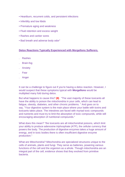- Heartburn, recurrent colds, and persistent infections
- Infertility and low libido
- Premature aging and weakness
- Fluid retention and excess weight
- Rashes and canker sores
- Bad breath and adverse body odor"

## **Detox Reactions Typically Experienced with Morgellons Sufferers.**

- . Rashes
- . Brain-fog
- . Anxiety
- . Fear
- . Anger

It can be a challenge to figure out if you're having a detox reaction. However, I would suspect that these symptoms typical with **[Morgellons](https://bestmorgellonscure.com/)** would be multiplied many fold during detox.

But what happens to cause this? **(8)** "The vast majority of these toxicants all have the ability to poison the mitochondria in your cells, which can lead to fatigue, obesity, diabetes, and other chronic problems. " And goes on to say, "Your digestive system is the main place where your battle with toxins and toxicants takes place. The intestines are faced with myriad toxic compounds and nutrients and must try to limit the absorption of toxic compounds, while still encouraging absorption of nutritional compounds."

What does this mean? "the toxicants are all mitochondrial poisons, which limit your ability to produce adenosine triphosphate (ATP), the cellular currency that powers the body. The production of digestive enzymes takes a huge amount of energy, and in toxic bodies there is often insufficient digestive enzyme production."

What are Mitochondria? Mitochondria are specialized structures unique to the cells of animals, plants and fungi. They serve as batteries, powering various functions of the cell and the organism as a whole. Though mitochondria are an integral part of the cell, evidence shows that they evolved from primitive bacteria.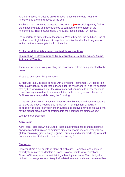Another analogy is: Just as an oil furnace needs oil to create heat, the mitochondria are the furnaces of the cell..

Each cell has one to two thousand mitochondria.**(10)** Providing plenty fuel for the mitochondria is an important step to contribute to the health of the mitochondria. Their natural fuel is a hi quality special sugar, D-Ribose.

It's important to protect the mitochondria. When they die, the cell dies. One of the functions of glutathione is to regulate the mitochondria for if they are too active, i.e the furnace gets too hot, they die.

#### **Protect and diminish yourself against detox reactions**

# **Diminishing [Detox Reactions from Morgellons Using Enzymes, Amino](http://bestmorgellonscure.com/Blog-Detox.html)  [Acids, and Zeolite](http://bestmorgellonscure.com/Blog-Detox.html)**

There are two means of protecting the mitochondria from being affected by the detox:

First is to use several supplements:

1. MaxOne is a D-Ribose bonded with L-cysteine. Remember, D-Ribose is a high-quality natural sugar that is the fuel for the mitochondria. Noe it's possible that by boosting glutathione, the glutathione will contribute to detox reactions as well giving you a double whammy. It this is the case, you can also obtain D-Ribose separately while doing the following..

2. "Taking digestive enzymes can help reverse this cycle and has the potential to relieve the body's need to use its vital ATP for digestion, allowing it to possibly be better served in other systems. Digestive enzymes are also vital for the proper breakdown of proteins into their component amino acids."

We have four enzymes:

## **[Agro Relief](https://theorganicskincare.com/collections/supplements/products/agro-relief-enzymes-without-probiotics-90-capsules)**

Agro Relief, also known as Gluten Relief is a professional strength digestive enzyme blend formulated to optimize digestion of agro material, vegetables, gluten-containing grains, dairy, legumes, proteins and other foods. Agro Relief enhances nutrient absorption and bio availability\*

## **[Flouracor](https://theorganicskincare.com/collections/supplements/products/natures-gift%C2%AE-floracor-gi-enzymes-with-probiotics-180-caps)**

Floracor-GI\* is a full spectrum blend of probiotics, Prebiotics, and enzymes expertly formulates to Maintain a proper balance of intestinal microflora. Floracor-GI\* may assist in maintaining a healthy amount of Candida by the utilization of enzymes to proteolytically deteriorate cell walls and protein within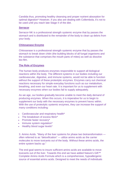Candida thus, promoting healthy cleansing and proper nutrient absorption for optimal digestion\* However, if you also are dealing with Collembola, it's not to be used until you reach late Stage II of the diet.

## **[Serracor](https://theorganicskincare.com/collections/supplements/products/serracor-nk-systemic-enzymes)**

Serracor-NK is a professional strength systemic enzyme that by passes the stomach and is distributed to the remainder of the body to clean up debris from your body.

## **Chitosanase Enzyme**

Chitosanase is a professional strength systemic enzyme that by passes the stomach to break down chitin (the building blocks of all fungal organisms and the substance that comprises the mouth parts of mites) as well as dissolve bio-film.

## **The Role of Enzymes**

The human body produces enzymes responsible to support all biological reactions within the body. The different systems in our bodies including our cardiovascular, digestive, and immune systems, would not be able to function without the support of these proteolytic enzymes. Enzymes carry out chemical reactions necessary for simple everyday functions such as our metabolism, breathing, and even our heart rate. It is important for us to supplement with necessary enzymes when our bodies fail to supply adequately.

As we age, our bodies gradually become unable to meet the daily demand of producing enzymes. When this occurs, it is imperative for us to begin to supplement our body with the necessary enzymes to prevent havoc within. With the use of proteolytic systemic enzymes, they can increase the support of many conditions including:

- Cardiovascular and respiratory health\*
- The breakdown of excess fibrin\*
- Promote faster recovery\*
- Immune system regulation\*
- Healthy blood sugar levels\*

3. Amino Acids. "Many of the liver systems for phase two biotransformation often referred to as "detoxification" — utilize amino acids as the carrier molecules to move toxicants out of the body. Without these amino acids, the entire system backs up."

The end goal seems to insure sufficient amino acids are available to move toxicants out of the liver. Towards this end we have added [Nature's Gift™](https://theorganicskincare.com/collections/supplements/products/natures-gift-complete-amino-acid-formula)  [Complete Amino Acids](https://theorganicskincare.com/collections/supplements/products/natures-gift-complete-amino-acid-formula) [Formula](https://theorganicskincare.com/collections/supplements/products/natures-gift-complete-amino-acid-formula) which is a comprehensive, hypoallergenic source of essential amino acids. Designed to meet the needs of individuals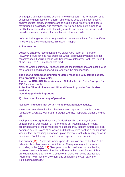who require additional amino acids for protein support. This formulation of 20 essential and non-essential "L-form" amino acids uses the highest-quality, pharmaceutical grade, crystalline amino acids in their "free" form to ensure maximum bio-availability and tolerance. Amino Acid Complete supports GI health, the repair and rebuild of healthy muscle and connective tissue, and provides essential nutrients for healthy hair, skin, and nails.

Let's put it all together: Your body needs all the amino acids to function. If the mitochondria are incapacitated, this doesn't happen.

## **Points to note**

Digestive enzymes recommended are either Agro Relief or Flouracor. However, Flouracor also has probiotics which, as previously noted, are not recommended if you're dealing with Collembola unless your well into Stage II of the King Diet™. Take them with food.

MaxOne which contains D-Ribose that feeds the mitochondria and accelerates the production of glutathione which regulates the mitochondria.

**The second method of diminishing detox reactions is by taking zeolite. Two products are available:**

**1 Amazon, RNA ACZ Nano Advanced Cellular Zeolite Extra Strength for \$58 for a 4 oz bottle.**

**2. Zeolite Clinoptilolite Natural Mineral Detox in powder form is also available.**

**Note that quality is important.** 

**1) Meds to block activity of parasites**

## **Research indicates that certain meds block parasitic activity.**

There are several medications that have been reported to do this: ORAP (pimozide), Zyprexa, Wellbrutrin, Serequel, Abilify, Risperdal, Claridin, and so on.

Their primary recognized uses are for dealing with Turrets Syndrome, schizophrenia, Depression, Bi Polar and so on. Psychiatrists, for years, prescribed some of these medications because they thought sufferers of skin parasites had delusions of parasites and that they were treating a mental issue when in fact, by reducing dopamine uptake they were actually treating parasitic conditions. So, let's say the meds are repurposed as anti parasitics.

The answer **(11)** "Pimozide inhibits parasite invasion and replication." This article is about Toxoplasmais which is the **Toxoplasma** gondii parasite-- According to the [CDC,](https://www.cdc.gov/parasites/toxoplasmosis/index.html) **(12)** "Toxoplasmosis is considered to be a leading cause of death attributed to foodborne illness in the United States." It is a protozoa parasite that is often a co factor in those with [Lyme disease](https://bestmorgellonscure.com/IMAGES/BOOKS/Lyme-Report.pdf) and "More than 40 million men, women, and children in the U.S. carry the Toxoplasma parasite."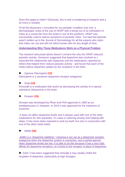Does this apply to mites? Obviously, this is only a smattering of research and a lot more is needed.

Of all the physicians I consulted for my parasitic condition only one, a dermatologist, knew of the use of ORAP with a break-out of an infestation of mites at a county fair from the straw in one of the pavilions. ORAP was successfully used to reduce symptoms of parasitic mites. Too bad that episode wasn't written up in the Journal of Dermatology for all the experts who claim that mites can not and will not infest human skin for any length of time.

## **Understanding Why These Medications Work on a Physical Problem**

The research discussed above doesn't connect the why the ORAP reduced parasitic activity. Someone suggested that dopamine was involved so I searched the relationship with dopamine and the medications reported by others that helped them reduce parasitic activity - and found that each of the meds reduce dopamine uptake by the receptors in the brain.

# ► Zyprexa Olanzapine **(13)**

[Olanzapine is a serotonin-dopamine-receptor antagonist](https://pubmed.ncbi.nlm.nih.gov/9606451/)

# ► Orap **(14)**

[Pimozide is a medication that works by decreasing the activity of a natural](https://www.medicinenet.com/pimozide-oral/article.htm)  [substance \(dopamine\) in the brain](https://www.medicinenet.com/pimozide-oral/article.htm)

## ► Doxepin **(15)**

[Doxepin was developed by Pfizer and FDA approved in 1969 as an](https://go.drugbank.com/drugs/DB01142)  [antidepressant.11 However, in 2010 it was approved for the treatment of](https://go.drugbank.com/drugs/DB01142)  [insomnia.](https://go.drugbank.com/drugs/DB01142)

It does not affect dopamine levels and is always used with one of the other medications for skin parasites. It's value is reducing anxiety and helping with sleep. It has never been reported to work by itself, but only in conjunction with one of the other meds listed.

# ► Abilify:**(16)**

[Abilify is a "dopamine stabilizer," meaning it can act as a dopamine receptor](https://www.verywellmind.com/how-antipyschotics-work-dopamine-partial-agonism-2953111)  [antagonist when the dopamine system is overactive, and a partial agonist](https://www.verywellmind.com/how-antipyschotics-work-dopamine-partial-agonism-2953111)  [when dopamine levels are low. It is able to do this because it has a very high](https://www.verywellmind.com/how-antipyschotics-work-dopamine-partial-agonism-2953111)  [affinity for dopamine receptors, so it binds to the receptor in place of dopamine.](https://www.verywellmind.com/how-antipyschotics-work-dopamine-partial-agonism-2953111)

► Zolof: it has been suggested that clinically it may weakly inhibit the reuptake of dopamine, particularly at high dosages.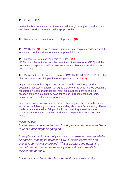# ► Seroquel **(17)**

[quetiapine is a dopamine, serotonin, and adrenergic antagonist, and a potent](https://www.google.com/search?client=firefox-b-1-d&sa=X&sxsrf=ALeKk024FDSa6vQ-HQPERq4O0ouuwHLxrw:1600738066269&q=Is+Seroquel+a+dopamine+antagonist?&ved=2ahUKEwjo0MX-zfvrAhX2kHIEHYCvD9EQzmd6BAgOECA&biw=1461&bih=784%20Seroquel%20binds%20to%20dopamine%20receptors,%20preventing%20dopamine%20itself%20from%20binding%20to%20its%20receptor,%20thereby%20interfering%20with%20its%20function%20https://www.google.com/search?client=firefox-b-1-d&biw=1461&bih=784&sxsrf=ALeKk01zWrXT5p4ak_GKrXRf4TIkaAbKeA:1600738174189&ei=flNpX5mRC5OtytMP_9iKiAY&q=Does+Seroquel+affect+dopamine?&oq=Does+Seroquel+affect+dopamine?&gs_lcp=CgZwc3ktYWIQAzICCAAyBAgAEB4yBggAEAgQHjoECAAQRzoFCAAQzQI6BAghEAo6BQghEKsCUIpDWOSjAWD3rAFoAXACeACAAUqIAeMHkgECMTWYAQCgAQGqAQdnd3Mtd2l6yAEIwAEB&sclient=psy-ab&ved=0ahUKEwiZyICyzvvrAhWTlnIEHX-sAmEQ4dUDCAw&uact=5)  [antihistamine with some anticholinergic properties.](https://www.google.com/search?client=firefox-b-1-d&sa=X&sxsrf=ALeKk024FDSa6vQ-HQPERq4O0ouuwHLxrw:1600738066269&q=Is+Seroquel+a+dopamine+antagonist?&ved=2ahUKEwjo0MX-zfvrAhX2kHIEHYCvD9EQzmd6BAgOECA&biw=1461&bih=784%20Seroquel%20binds%20to%20dopamine%20receptors,%20preventing%20dopamine%20itself%20from%20binding%20to%20its%20receptor,%20thereby%20interfering%20with%20its%20function%20https://www.google.com/search?client=firefox-b-1-d&biw=1461&bih=784&sxsrf=ALeKk01zWrXT5p4ak_GKrXRf4TIkaAbKeA:1600738174189&ei=flNpX5mRC5OtytMP_9iKiAY&q=Does+Seroquel+affect+dopamine?&oq=Does+Seroquel+affect+dopamine?&gs_lcp=CgZwc3ktYWIQAzICCAAyBAgAEB4yBggAEAgQHjoECAAQRzoFCAAQzQI6BAghEAo6BQghEKsCUIpDWOSjAWD3rAFoAXACeACAAUqIAeMHkgECMTWYAQCgAQGqAQdnd3Mtd2l6yAEIwAEB&sclient=psy-ab&ved=0ahUKEwiZyICyzvvrAhWTlnIEHX-sAmEQ4dUDCAw&uact=5)

► [Risperidone is an antagonist for dopamine](https://www.jneurosci.org/content/29/43/13730) **(18)**

► Wellbutrin: **(19)** [also known as Bupropion is an atypical antidepressant. It](https://en.wikipedia.org/wiki/Bupropion)  [acts as a norepinephrine–dopamine reuptake inhibitor](https://en.wikipedia.org/wiki/Bupropion)

► [Dopamine Reuptake Inhibitors \(NDRIs\)](https://www.verywellmind.com/snris-and-ssnris-380183) **(20)** NDRIs block the action of both the norepinephrine transporter (NET) and the dopamine transporter (DAT). NDRIs are used for clinical depression, ADHD4, and narcolepsy.

► Drugs that bind to but do not activate DOPAMINE RECEPTORS, thereby blocking the actions of dopamine or exogenous agonists.**(21)**

Dopamine antagonist **(22)** [also known as an anti-dopaminergic and a](https://en.wikipedia.org/wiki/Dopamine_antagonist)  [dopamine receptor antagonist \(DRA\), is a type of drug which blocks dopamine](https://en.wikipedia.org/wiki/Dopamine_antagonist)  [receptors by receptor antagonism. Most antipsychotics are dopamine](https://en.wikipedia.org/wiki/Dopamine_antagonist)  [antagonists, and as such they have found use in treating schizophrenia,](https://en.wikipedia.org/wiki/Dopamine_antagonist)  bipolar disorder, [and stimulant psychosis.](https://en.wikipedia.org/wiki/Dopamine_antagonist)

Lisa, from Hawaii has taken an interest in this subject. She researched it and wrote me the following with her understanding about what's happening. These meds reduce the uptake of dopamine in the brain. Pay attention to the explanation about how parasites produce an enzyme that raises dopamine levels.

## *"Aloha Richard*

*I have been trying to understand this dopamine connection and here is what I think might be going on.*

*1. reuptake inhibitors actually cause an increase in the extracellular Dopamine, leading to increased CNS function (alertness and cognitive function is improved). This is because the dopamine cannot reenter the nerves as easily & quickly as normally (a millisecond normally)*

*In Parasitic conditions that have been studied - specifically*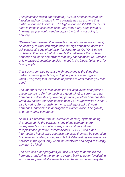*Toxoplasmosis which approximately 80% of Americans have this infection and don't realize it. The parasite has an enzyme that makes dopamine to excess. The high dopamine INSIDE the cell is seen in these infections in Mice (they don't study brain tissue of humans, as you would need to biopsy the brain - not going to happen).*

*(Researchers believe other parasites may also have this enzyme). So contrary to what you might think the high dopamine inside the cell causes all sorts of behavior (schizophrenia, OCPD, & other) problems. The key is that: it is inside the cell where the problem happens and that is somewhere that they cannot measure. You can only measure Dopamine outside the cell in the blood, fluids, etc. for living people.*

*This seems contrary because high dopamine is the thing that makes something addictive, so high dopamine equals good vibes. Everything that increases dopamine is what makes you feel good.*

*The important thing is that inside the cell high levels of dopamine cause the cell to die (too much of a good thing) or screw up other hormones. It does this by lowering prolactin, another hormone that when low causes infertility, muscle pain, PCOS (polycystic ovaries) . also lowering GH - growth hormone, and thyrotropin, thyroid hormones, and increase androgens in women (facial hair growth), and many other symptoms.*

*So this is a problem with the hormones of many systems being dysregulated via the parasite. Many of the symptoms are widespread (as is toxoplasmosis) in our culture and the toxoplasmosis parasite (carried by cats (FECES) and other intermediate hosts) once you have the cysts they can be controlled but never eliminated, it is impossible to kill the resting toxoplasmosis parasite in the cysts, only when the reactivate and begin to multiply can they be killed.*

*The diet, and other programs you use will help to normalize the hormones, and bring the immune system back to better functioning so it can suppress all the parasites a bit better, but eventually the*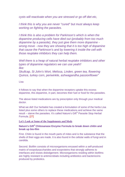*cysts will reactivate when you are stressed or go off diet etc,*

*I think this is why you are never "cured" but must always keep working on fighting the parasites.*

*I think this is also a problem for Parkinson's which is when the dopamine producing cells have died out (probably from too much dopamine by a parasite), they just give them more dopamine wrong move - now they are showing that it is too high of dopamine that cause the Parkinson's and by lowering it inside the cell with those reuptake inhibitors they can help them.*

*Well there is a heap of natural herbal reuptake inhibitors and other types of dopamine regulators we can use yeah!! like: Skullcap, St John's Wort, Melissa, Linden, green tea, flowering Quince, turkey corn, periwinkle, ashwagandha passionflower"*

Lisa

It follows to say that when the dopamine receptors uptake this excess dopamine, this dopamine, in part, becomes their fuel or food for the parasites.

The above listed medications are by prescription only through your medical doctor.

What we did! Our herbalist has created a formulation of some of the herbs Lisa listed plus some others to replace these medications and achieve the same result – starve the parasites. It's called Nature's Gift® Parasite Stop Herbal Formula. [27]

**Let's Look at Some of the Supplements and Meds**

**[Nature's Gift](https://theorganicskincare.com/collections/supplements/products/natures-gift-chitinase-enzyme-formula)***®* **[Chitosanase Enzyme Formula](https://theorganicskincare.com/collections/supplements/products/natures-gift-chitinase-enzyme-formula) to break down chitin and break up bio-film**

First. Chitin is found in the mouth parts of mites and is the substance that the shells of their eggs are made. It is also found in the cellular walls of fungi and in candida.

Second. Biofilm consists of microorganisms encased within a self-produced matrix of exopolysaccharides and exoproteins that strongly adheres to interfaces and resists dislodgement. Microorganisms residing within biofilms are highly resistant to antimicrobials including antibiotics and bacteriocins produced by probiotics.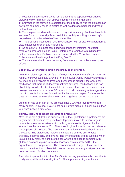Chitosanase is a unique enzyme formulation that is especially designed to disrupt the biofilm matrix that embeds gastrointestinal organisms.

► Enzymes in the formula are selected for their ability to lyse the extracellular polymers commonly found in biofilm as well as degrade bacterial and yeast cell wall structures.

► The enzyme blend was developed using in vitro testing of antibiofilm activity and was found to have significant antibiofilm activity resulting in meaningful degradation of undesirable biofilm communities.

► This product is intended for use in conjunction with efforts to support normal gastrointestinal function and microbiota.

► As an adjunct, it is best combined with of healthy intestinal microbial restoration program such as using Restore and prebiotics to build healthy biofilm communities. Probiotics are recommended for Morgellons but not Collembola until mid stage II of the King Diet<sup>SM</sup>

► The capsules should be taken away from meals to maximize the enzyme effects.

#### **Secondly, [Lufeneron](http://www.shop4lufe.com/morgellons_pricing_table.html) to inhibit the production of chitin,**

Lufenuron also *keeps the shells of mite eggs from forming and works hand in hand with the* [Chitosanase Enzyme Formula.](https://theorganicskincare.com/collections/supplements/products/natures-gift-chitinase-enzyme-formula) Lufenuron is typically known as a pet med and is available as Program. Lufenuron is probably the only ideal medication that there is. It doesn't react with any other medications and has absolutely no side effects. It's available in capsule form and the recommended dosage is one capsule daily for 96 days with food containing fat (an egg with a pad of butter for instance). Sometimes it's important to repeat for another 96 days. It's ordered at www.shop4lufe.com/morgellons\_pricing\_table.html

Lufenuron has been part of my protocol since 2006 with rave reviews from many people. Of course, if you're not dealing with mites, or fungal issues, then you won't notice a difference.

#### **Thirdly, MaxOne to boost glutathione production**

MaxOne is not a glutathione supplement. In fact, glutathione supplements are very inefficient because the glutathione tripeptide molecule is very large in comparison to other substances in the body and most is digested by the stomach so that at most a 20 to 30% boost in glutathione is obtained. Maxone is comprised of D-Ribose (the natural sugar that fuels the mitochondria) and L-cysteine. The glutathione molecule is made up of three amino acids cysteine, glutamic acid, and glycine. The limiting amino acid is cysteine which is supplied by MaxOne right into the cell where it belongs to combine with glutamic acid and glycine to yield a boost of approximately 270% - the equivalent of ten supplements. The recommended dosage is 2 capsules per day with or without food. To obtain desired results, as many as 8 per day can be taken. Watch for detox reactions.

The other important point is that MaxOne is the only glutathione booster that is totally compatible with the King Diet<sup>SM</sup>. The importance of glutathione is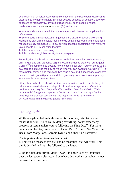overwhelming. Unfortunately, glutathione levels in the body begin decreasing after age 20 by approximately 10% per decade because of pollution, poor diet, exposure to radioactivity, physical stress, injury, poor sleeping habits, medications such as acetaminophen [24] and so on.

► It's the body's major anti-inflammatory agent. All disease is complicated with inflammation.

► It's the body's major detoxifier. Injections are given for arsenic poisoning. Morgellons aka Lyme disease loves toxicity as its playground and glutathione reduces toxicity dramatically. In my opinion boosting glutathione with MaxOne is superior to EDTA chelation therapy.

- ► It boosts immune functioning
- ► It boosts haemoglobin's ability to carry oxygen

Fourthly, Garcillin is said to be a natural anti-biotic, anti-viral, anti-protozoan, anti-fungal, and anti-parasitic. [25] It's recommended to start with our regular Garcilin<sup>™</sup> Recommended dosage is one capsule per day. You can go up to 6 a day spread out during the day at which time you can switch to Garcillin  $II<sup>TM</sup> - a$ more potent formula and reduce to two caps a day and if necessary to achieve desired results go to 6 per day and then gradually back down to one per day when results have been achieved.

Fifthly, Fenbendazole (Fenben) is another ped medication used to clean the body of helminths (nematodes) – round, whip, pin, flat and some tape worms. It's another medication with very few, if any, side effects and is ordered from Mexico. Their recommended dosage is 24 capsules of the 444 mg size. Taking one cap a day for three days and then four days off until the supply is used up. It's ordered at www.shop4lufe.com/morgellons\_pricing\_table.html

# The King Diet<sup>SM</sup>.

While everything before in this report is important, this diet is what makes if all work. So, if you're doing everything, do not expect any progress or results unless you're following the King Diet<sup>SM</sup>. For more detail about the diet, I refer you to chapter IV of "How to Get Your Life Back From Morgellons, Chronic Lyme, and Other Skin Parasites."

The important things to remember is that:

1. There is no theory to this diet and no theoretical diet will work. This diet is detailed and must be followed to the letter.

2. Do the diet, don't try it. Make it work! It's been used by thousands over the last twenty plus years. Some have declared it a cure, but it's not because there is no cure.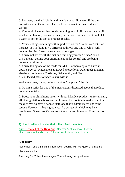3. For many the diet kicks in within a day or so. However, if the diet doesn't kick in, it's for one of several reasons (not because it doesn't work):

a. You might have just had food containing lots of oil such as tuna in oil, salad with olive oil, marinated steak, and so on in which case it could take a week or so for the diet to produce results.

b. You're eating something with ingredients on the "Do not eat" list. For instance, soy is found in 40 different additives any one of which will counter the diet. Even some salt contains sugar.

c. You're not strict with the diet and thinking you can "Kinda" be on it. d. You're not getting your environment under control and are being constantly reinfected.

e. You're taking one of the meds for ADHD or narcolepsy as listed in update 6/26/19, Medications that Feed Morgellons. Other meds that may also be a problem are Cortisone, Gabapentin, and Neurotin. f. You lacked perseverance to stay with it.

And sometimes, it may be important to "jump start" the diet:

1. Obtain a script for one of the medications discussed above that reduce dopamine uptake.

2. Boost your glutathione levels with our MaxOne product--unfortunately, all other glutathione boosters that I researched contain ingredients not on the diet. We do have a nano glutathione that is administered under the tongue However, it has ingredients like orange oil which may be a problem on Stage I so it's best to spit out the solution after 90 seconds or so.

# **1) How to adhere to a diet that will not feed the mites**

**First: Stage I of the King Diet--Chapter IV of my book. It's very** strict. Without the diet, I don't know how to be of value to you.

# **King Diet™**

Remember, one significant difference in dealing with Morgellons is that the diet is very strict.

The King Diet™ has three stages. The following is copied from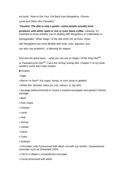my book, "How to Get Your Life Back from Morgellons, Chronic Lyme and Other Skin Parasites."

*"Caution: The diet is only a guide—some people actually have problems with either spelt or rice or even black coffee. Likewise, it's important to know whether you're dealing with Morgellons or Collembola or* 

*Strongyloides. While Stage I of the diet works for all three, those with Morgellons are more flexible with fruits, nuts, legumes, and can also use probiotics - a blessing for vegans.* 

*And now the good news - -what you can eat on Stage I of the King DietSM*

*or Parasite/Lyme DietSM. Call it the shrimp scampi diet. Chapter V of my book contains some darn tasty recipes:* 

- *►Protein:*
- *Eggs*
- *Bacon\* or ham\*\* (no sugar, honey, or corn syrup or gelatin)*
- *White fish, flounder, basa (no cod, salmon, or oily fish)*
- *Sausage (without fennel) or Costco's roasted red pepper and spinach chicken sausage*
- *Beef*
- *Pork chops*
- *Chicken*
- *Lamb*
- *Veal*
- *Shrimp*
- *Lobster*
- *Clams*
- *Crabs*
- *Scallops*

*• Chocolate: only if processed with alkali--not with soy lecithin. Unsweetened chocolate such as Ghirardelli 100%* 

- *CACO or Baker's unsweetened chocolate.*
- *Cocoa processed with alkali*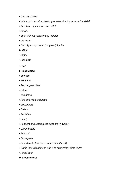- *Carbohydrates:*
- *White or brown rice, risotto (no white rice if you have Candida)*
- *Rice bran, spelt flour, and millet*
- *Bread:*
- *Spelt without yeast or soy lecithin*
- *Crackers:*
- *Dark Rye crisp bread (no yeast) Ryvita*
- *► Oils:*
- *Butter*
- *Rice bran*
- *• Lard*

#### *►Vegetables:*

- *Spinach*
- *Romaine*
- *Red or green leaf*
- *lettuce*
- *Tomatoes*
- *Red and white cabbage*
- *Cucumbers*
- *Onions*
- *Radishes*
- *Celery*
- *Peppers and roasted red peppers (in water)*
- *Green beans*
- *Broccoli*
- *Snow peas*
- *Sauerkraut ( this one is weird that it's OK)*
- *Garlic (eat lots of it and add it to everything• Cold Cuts:*
- *Roast beef*
- *► Sweeteners:*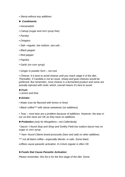- *Stevia without any additives*
- *► Condiments*
- *Horseradish*
- *Catsup (sugar and corn syrup free)*
- *Parsley*
- *Oregano*
- *Salt—regular, low sodium, sea salt…*
- *Black pepper*
- *Red pepper*
- *Paprika*
- *Garlic (no corn syrup)*
- *• Ginger in powder form – not root.*

*• Cheese: It is best to avoid cheese until you reach stage II of the diet.. Thereafter, if Candida is not an issue, sheep and goat cheeses would be preferred. But remember, most cheese is a fermented product and some are actually injected with mold, which, overall means it's best to avoid.* 

# *►Fruit:*

## *• Lemon and lime*

# *►Drinks:*

- *Water (can be flavored with lemon or lime)*
- *Black coffee\*\*\* with stevia sweetener (no additives).*

*• Teas – most teas are a problem because of additives. However, the teas in our on-line store are OK as they have no additives.* 

*►Probiotics (only for Morgellons—not Collembola)* 

*\* bacon--I found Stop and Shop and Smithy Field low sodium bacon has no sugar or corn syrup.* 

*\*\* ham--found Citterio brand prosciutto (ham and salt) no other additives.* 

*\*\*\* not all black coffee—especially blends--is safe. Some black* 

*coffees cause parasitic activation. 8 o'clock regular is often OK*

# *►Foods that Cause Parasitic Activation*

*Please remember, this list is for the first stage of the diet. Some*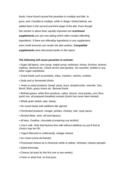*foods I have found caused the parasites to multiply and bite, to grow, and; Candida to multiply, while in Stage I (listed below), are added back in the second and third stage of the diet. Even though this section is about food, equally important are nutritional supplements you are now taking which often contain offending ingredients. If there are offending ingredients in any supplement, even small amounts can render the diet useless. Compatible supplements were discussed earlier in this report.* 

#### *The following will cause parasites to activate:*

*• Sugar (all types), corn syrup, maple syrup, molasses, honey, fructose, lactose, maltose, dextrose etc. Check all tins and packets. No mannitol, sorbitol or any other sugar substitutes.* 

- *Snack foods such as pretzels, chips, crackers, nachos, cookies.*
- *• Soda and or fermented drinks.*

*• Yeast or yeast products: bread, pizza, buns, breadcrumbs, marmite, Oxo, Bovril, Bisto, gravy mixes etc. flavored foods* 

*• Refined grains, white flour products, cakes, biscuit, most pastas,,corn flour, quick rice, all prepared breakfast cereals (Kashi has never been tested).* 

- *Whole grain wheat, oats, barley.*
- *No cured meats with additives like glycine.*
- *Fermented products, vinegar, pickles, chutney, tofu, soya sauce.*
- *Alcohol (beer, wine, all hard liquors).*
- *All teas, Ovaltine, chocolate (containing soy lecithin).*

*• Cow's milk. Note that lactose free milk without additives as you'll find at Costco may be OK.* 

- *Yogurt (flavored or unflavored), cottage cheese*
- *Ice cream (most all brands).*
- *Processed cheese as in American white or yellow, Velveeta, cheese spreads.*
- *Salad dressings.*
- *Cheese (at least for the first one or two weeks).*
- *Fresh or dried fruit, no fruit juice.*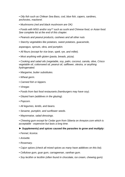*• Oily fish such as Chilean Sea Bass, cod, blue fish, capers, sardines, anchovies, mackerel.* 

*• Mushrooms (red and black mushroom are OK)* 

*• Foods with MSG and/or soy\*\* such as sushi and Chinese food, or Asian food. See complete list at the end of this chapter.* 

- *Peanuts and peanut products, cashews and all other nuts*
- *Starchy vegetables like potatoes, sweet potatoes, guacamole,*

*asparagus, sprouts, okra, and pumpkin.* 

- *All flours (except for rice bran, spelt, rye, and millet).*
- *Most anything with gluten (pasta, breads, pizza).*

*• Cooking and salad oils (vegetable, soy, palm, coconut, canola, olive, Crisco vegetable oil, cottonseed oil, peanut oil, safflower, olestra, or anything hydrogenated.* 

- *Margarine, butter substitutes.*
- *Wheat germ.*
- *Canned fish or kippers.*
- *Vinegar.*
- *Foods from fast food restaurants (hamburgers may have soy).*
- *Glazed ham (additives in the glazing).*
- *Popcorn.*
- *All legumes, lentils, and beans.*
- *Sesame, pumpkin, and sunflower seeds.*
- *Mayonnaise, salad dressings.*

*• Chewing gum except for Cedar gum from Siberia on Amazon.com which is acceptable - expensive but lasts a long time.* 

## *► Supplements) and spices caused the parasites to grow and multiply:*

- *Fennel, licorice.*
- *Anisette.*
- *Rosemary.*
- *Cajun spices (check all mixed spices as many have additives on this list).*
- *Cellulose gum, guar gum, carrageenan, xanthan gum.*
- *Soy lecithin or lecithin (often found in chocolate, ice cream, chewing gum).*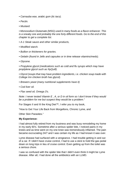- *Carnauba wax, arabic gum (tic tacs).*
- *Pectin.*
- *Mustard.*

*• Monosodium Glutamate (MSG) used in many foods as a flavor enhancer. This is a sneaky one and probably the one forty different foods. Go to the end of this chapter to get a complete list.* 

- *A-1 Steak sauce and other similar products,*
- *Modified starch.*
- *Bullion or thickeners for gravies.*
- *Gelatin (found in Jello and capsules or in time release vitamins/meds).*
- *Glycene.*

*• Propylene glycol (medications such as cold and flu syrups which may have proplylene glycol such as NyQuill).* 

*• Glycol (soups that may have problem ingredients, i.e. chicken soup made with College Inn chicken broth has glycol).* 

- *Brewers yeast (many nutritional supplements have it)*
- *Cod liver oil.*
- *Flax seed oil, Omega 3's.*

*Note: I never tested Vitamin E , A, or D in oil form so I don't know if they would be a problem for me but suspect they would be a problem."* 

For Stages II and III the King Diet™, I refer you to my book,

"How to Get Your Life Back from Morgellons, Chronic Lyme, and

Other Skin Parasites."

## **My Experience:**

I had almost fully retired from my business and was busy remodeling my home in my early 60's. Sometime after a serious spider bite, I noticed pains in my knees and as time went on my one knee was tremendously inflamed. The pain became excruciating 24/7 and I was certain my life as I had known it was over.

Lyme disease had surfaced with a vengeance. I had trouble getting in and out of a car. If I didn't have cruise control, I had to use a stick to hold the gas pedal down on long trips in lieu of cruise control. Even getting up from the toilet was a serious chore.

I was so confused with the spider bite that I didn't even think it might be Lyme disease. After all, I had done all the antibiotics with an LLMD.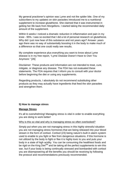My general practioner's opinion was Lyme and not the spider bite. One of my subscribers to my updates on skin parasites introduced me to a nutritional supplement to increase glutathione. She claimed that it was instrumental in getting her life back from Morgellons. I started taking the recommended daily amount of the supplement.

Within 6 weeks I noticed a dramatic reduction in inflammation and pain in my knee - 95%. I was so excited that I did a lot of personal research on glutathione. Why did I just now hear of this substance and not years ago? Answer: years ago there was no way of substantially boosting it in the body to make much of a difference so that one could really see results.

My complete experience plus everything you want to know about Lyme disease is in my free report, "Lyme Disease Doesn't Have to Own You Anymore." [26]

Disclaimer: These products and information are not intended to treat, cure, mitigate, or diagnose any disease. The FDA has not evaluated these statements. The FDA requires that I inform you to consult with your doctor before beginning the diet or using any supplements.

Regarding products, I absolutely do not recommend substituting other products as they may actually have ingredients that feed the skin parasites and strengthen them.

# **5) How to manage stress**

## **Manage Stress**

It's all to overwhelming! Managing stress is vital in order to enable everything you are doing to work better!

## Why is this so vital and why is managing stress so often overlooked?

Simply put when you are not managing stress in this highly stressful situation you are not managing stress hormones that are being released into your blood stream in the form of cortisol. Cortisol (23) being nature's built in alarm system used to enable to you fight or flee from dangerous situations. If this hormone is not utilized by the body to fight or flee it is highly toxic to you and puts your body in a state of high acidity. You can be consuming the healthiest foods and be rigid on the King Diet<sup>SM</sup> and be taking all the perfect supplements to win this war, but if your body is being continually stressed and bombarded with cortisol you are disempowering all the benefits you should be receiving by following the protocol and recommendations previously recommended.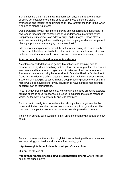Sometimes it's the simple things that don't cost anything that are the most effective yet because there is no price to pay, these things are easily overlooked and thought to be unimportant. How far from the truth is this when it comes to managing stress!

Deep breathing is your first line of defense against cortisol and all it costs is awareness together with mindfulness of your daily encounters with stress. Simplistically put cortisol is an adrenal sugar spike into your blood stream, whilst we are avoiding all foods with sugar like the plague why are people not placing importance on managing their stress I ask?

I do believe if everyone understood the value of managing stress and applied it to the extent that they deal with their skin, which alone is a dramatic stressful call to action, that there would be far quicker turnarounds in winning this war.

# **Amazing results achieved by managing stress -**

A customer reported that since getting Morgellons and learning how to manage stress by deep breathing that her blood pressure problem of ten years went away and how she no longer needs to take her blood pressure meds. Remember, we're not curing hypertension. In fact, the Physician's Handbook found in every doctor's office states that 80% of all maladies is stress related. So, often by managing stress with basic deep breathing solves the problem. In fact, it would be advisable for every physician to have a stress management specialist part of their practice.

In our Sunday free conference calls, we typically do a deep breathing exercise, tapping exercise or QR response exercises to minimize the stress response which, by the way, also lowers IQ and kills creativity.

Panic – panic usually is a normal reaction shortly after you get infected by mites and find no over the counter meds or even help from your doctor. This has been the topic for two Sunday Conference calls posted to Youtube

To join our Sunday calls, watch for email announcements with details on how to join.

To learn more about the function of glutathione in dealing with skin parasites and improving your health and immune functioning, go to

# **http://www.glutathioneforhealth.com/Lyme-Disease.htm**

Our on-line store is at

**https://theorganicskincare.com/collections/supplements** where you can find all the supplements.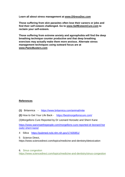**Learn all about stress management at [www.DSressDoc.com](http://www.dsressdoc.com/)**

**Those suffering from skin parasites often lose their careers or jobs and find their self esteem challenged. Go to [www.SelfEsteemCure.com](http://www.selfesteemcure.com/) to reclaim your self-esteem.** 

**Those suffering from extreme anxiety and agoraphobia will find the deep breathing technique counter productive and that deep breathing exercises may actually make them more anxious. Alternate stress management techniques using outward focus are at [www.PanicBusters.com](http://www.panicbusters.com/)**

# **References**

- **(1)** [Britannica](https://www.britannica.com/animal/mite)  <https://www.britannica.com/animal/mite>
- **(2)** How to Get Your Life Back <https://bestmorgellonscure.com/>
- (3)Morgellons Cure Reported by Dr Leonard Horowitz and Sherri Kane

[https://www.waronwethepeople.com/morgellons-cure-reported-dr-leonard-hor](https://www.waronwethepeople.com/morgellons-cure-reported-dr-leonard-horowitz-sherri-kane/) [owitz-sherri-kane/](https://www.waronwethepeople.com/morgellons-cure-reported-dr-leonard-horowitz-sherri-kane/)

- 4 Silica <https://pubmed.ncbi.nlm.nih.gov/17435951/>
- 5 [Science Direct,](https://www.sciencedirect.com/topics/medicine-and-dentistry/detoxication)

https://www.sciencedirect.com/topics/medicine-and-dentistry/detoxication

6. [Sinus congestion](https://www.sciencedirect.com/topics/medicine-and-dentistry/sinus-congestion) <https://www.sciencedirect.com/topics/medicine-and-dentistry/sinus-congestion>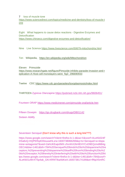7 [loss of muscle tone](https://www.sciencedirect.com/topics/medicine-and-dentistry/loss-of-muscle-tone)

[https://www.sciencedirect.com/topics/medicine-and-dentistry/loss-of-muscle-t](https://www.sciencedirect.com/topics/medicine-and-dentistry/loss-of-muscle-tone) [one](https://www.sciencedirect.com/topics/medicine-and-dentistry/loss-of-muscle-tone)

Eight What happens to cause detox reactions - Digestive Enzymes and **Detoxification** <https://www.chiroeco.com/digestive-enzymes-and-detoxification/>

Nine Live Science<https://www.livescience.com/50679-mitochondria.html>

Ten [Wikipedia,](https://en.wikipedia.org/wiki/Mitochondrion) <https://en.wikipedia.org/wiki/Mitochondrion>

Eleven Primozide [https://www.researchgate.net/figure/Pimozide-inhibits-parasite-invasion-and-r](https://www.researchgate.net/figure/Pimozide-inhibits-parasite-invasion-and-replication-A-Host-cell-monolayers-were_fig3_296690933) [eplication-A-Host-cell-monolayers-were\\_fig3\\_296690933](https://www.researchgate.net/figure/Pimozide-inhibits-parasite-invasion-and-replication-A-Host-cell-monolayers-were_fig3_296690933)

Twelve CDC<https://www.cdc.gov/parasites/toxoplasmosis/index.html>

THIRTEEN Zyprexa Olanzapine <https://pubmed.ncbi.nlm.nih.gov/9606451/>

Fourteen ORAP<https://www.medicinenet.com/pimozide-oral/article.htm>

Fifteen Doxepin <https://go.drugbank.com/drugs/DB01142>

Sixteen Abilify:

Seventeen Seroquel (Don't know why this is such a long link???)

https://www.google.com/search?client=firefox-b-1-d&sa=X&sxsrf=ALeKk024F DSa6vQ-HQPERq4O0ouuwHLxrw:1600738066269&q=Is+Seroquel+a+dopa mine+antagonist?&ved=2ahUKEwjo0MX-zfvrAhX2kHIEHYCvD9EQzmd6BAg OECA&biw=1461&bih=784%20Seroquel%20binds%20to%20dopamine%20re ceptors,%20preventing%20dopamine%20itself%20from%20binding%20to%2 0its%20receptor,%20thereby%20interfering%20with%20its%20function%20ht tps://www.google.com/search?client=firefox-b-1-d&biw=1461&bih=784&sxsrf= ALeKk01zWrXT5p4ak\_GKrXRf4TIkaAbKeA:1600738174189&ei=flNpX5mRC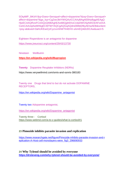5OtytMP\_9iKiAY&q=Does+Seroquel+affect+dopamine?&oq=Does+Seroquel+ affect+dopamine?&gs\_lcp=CgZwc3ktYWIQAzICCAAyBAgAEB4yBggAEAgQ HjoECAAQRzoFCAAQzQI6BAghEAo6BQghEKsCUIpDWOSjAWD3rAFoAXA CeACAAUqIAeMHkgECMTWYAQCgAQGqAQdnd3Mtd2l6yAEIwAEB&sclient =psy-ab&ved=0ahUKEwiZyICyzvvrAhWTlnIEHX-sAmEQ4dUDCAw&uact=5

Eighteen [Risperidone is an antagonist for dopamine](https://www.jneurosci.org/content/29/43/13730)  <https://www.jneurosci.org/content/29/43/13730>

Nineteen Wellbutrin:

**<https://en.wikipedia.org/wiki/Bupropion>**

**Twenty** [Dopamine Reuptake Inhibitors \(NDRIs\)](https://www.verywellmind.com/snris-and-ssnris-380183)

https://www.verywellmind.com/snris-and-ssnris-380183

Twenty one Drugs that bind to but do not activate DOPAMINE RECEPTORS, .

[https://en.wikipedia.org/wiki/Dopamine\\_antagonist](https://en.wikipedia.org/wiki/Dopamine_antagonist)

Twenty two Adopamine antagonist,

[https://en.wikipedia.org/wiki/Dopamine\\_antagonist](https://en.wikipedia.org/wiki/Dopamine_antagonist)

Twenty three - Cortisol <https://www.webmd.com/a-to-z-guides/what-is-cortisol#1>

# **23 Pimozide inhibits parasite invasion and replication**

[https://www.researchgate.net/figure/Pimozide-inhibits-parasite-invasion-and-r](https://www.researchgate.net/figure/Pimozide-inhibits-parasite-invasion-and-replication-A-Host-cell-monolayers-were_fig3_296690933) [eplication-A-Host-cell-monolayers-were\\_fig3\\_296690933](https://www.researchgate.net/figure/Pimozide-inhibits-parasite-invasion-and-replication-A-Host-cell-monolayers-were_fig3_296690933)

**24 Why Tylenol should be avoided by everyone <https://drsteveng.com/why-tylenol-should-be-avoided-by-everyone/>**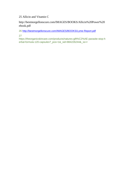25 Allicin and Vitamin C

http://bestmorgellonscure.com/IMAGES/BOOKS/Allicin%20Power%20 ebook.pdf

26<http://bestmorgellonscure.com/IMAGES/BOOKS/Lyme-Report.pdf>

27

https://theorganicskincare.com/products/natures-gift%C2%AE-parasite-stop-h erbal-formula-120-capsules?\_pos=1&\_sid=884226244&\_ss=r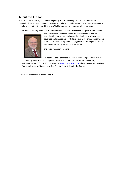# **About the Author**

Richard Kuhns, B.S.Ch.E., (a chemical engineer), is certified in hypnosis. He is a specialist in biofeedback, stress management, cognitive, and relaxation skills. Richard's engineering perspective has allowed him to "step outside the box" in his approach to empower others for success.

He has successfully worked with thousands of individuals to achieve their goals of self-esteem,



shedding weight, managing stress, and becoming healthier. As an accredited hypnotist, Richard is considered to be one of the most advanced and progressive self-help specialists. He brings a progressive approach to self-help, by combining hypnosis with a cognitive shift, (a shift in one's thinking perspective), nutrition,

and stress management skills.

He operated the Biofeedback Center of NJ and Hypnosis Consultants for

over twenty years. He is now in private practice and is creator and author of over fifty self-empowering CD's or MP3 Downloads at [www.DStressDoc.com,](http://www.dstressdoc.com/) where you can also receive a free monthly Stress Management Tips Bulletin<sup>TM</sup> worth hundreds of dollars.

**Richard is the author of several books:**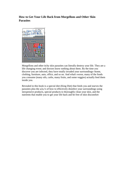# **How to Get Your Life Back from Morgellons and Other Skin Parasites**



Morgellons and other itchy skin parasites can literally destroy your life. They are a life changing event; and doctors know nothing about them. By the time you discover you are infected, they have totally invaded your surroundings--home, clothing, furniture, auto, office, and so on. And what's worse, many of the foods you consume (many oils, carbs, many fruits, and some veggies) actually feed them inside you.

Revealed in this book is a special diet (King Diet) that feeds you and starves the parasites plus the a,b,c's of how to effectively disinfect your surroundings using inexpensive products, special products to thoroughly clean your skin, and the nutrients that enable you to get your life back and be free of skin discomfort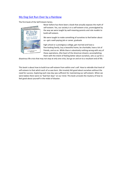# My Dog Got Run Over by a Rainbow

The first book of the Self-Esteem Series.



Never before has there been a book that actually exposes the myth of self-esteem. Yes, our society is in a self-esteem crisis, promulgated by the way we were taught by well-meaning parents and role models to build self-esteem.

We were taught to make something of ourselves to feel better about us—get a well-paying job or career, graduate

high school or a prestigious college, get married and have a fine-looking family, buy a beautiful home, be charitable, have a lot of friends, and so on. While there is absolutely nothing wrong with any of these aspirations, (the heart of the American dream), accomplishing them with the intent of feeling better about ourselves, sets us up for a

disastrous life crisis that may not stop at only one crisis, but go on and on to a resultant end of life.

This book is about how to build true self-esteem from within one's self. How to rekindle that level of self-esteem to that which each of us was born. We innately felt good about ourselves without the need for success. Exploring each new day was sufficient for maintaining our self-esteem. When we were babies there were no "bad hair days" on our mind. This book unravels the mystery of how to feel good about yourself in the midst of disaster.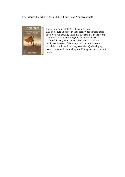# Confidence Rich/Hate Your Old Self and Love Your New Self



The second book of the Self-Esteem Series. This book puts a bounce in your step. When you read this book, you will actually think that Richard is is in the room coaching you in overcoming the "dead-giveaways" of self-confidence (unconscious habits like the Gallows' laugh, to name one of the many, that announces to the world that you have little if any confidence), developing assertiveness, and establishing a self-image to love yourself totally.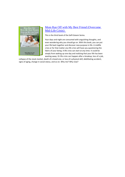

# Mom Ran Off with My Best Friend (Overcome Mid-Life Crisis)

This is the third book of the Self-Esteem Series.

Your days and night are consumed with anguishing thoughts, and even wondering why you should go on. With this book, you can put your life back together and discover new purpose in life. A midlife crisis or for that matter any life crisis will have you questioning the fabric of your being. A life crisis can start at any time. It could be simply from waking up one day and realizing that your life has been wasting away. Or life crisis can happen after a breakup, loss of a job,

collapse of the stock market, death of a loved one, or loss of a physical skill, debilitating accident, signs of aging, change in social status, and so on. Why me? Why now?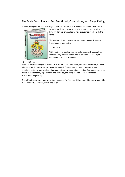# [The Scale Conspiracy to End Emotional, Compulsive, and Binge Eating](http://www.scaleconspiracy.com/)

In 1984, using himself as a test subject, a brilliant researcher in New Jersey solved the riddle of



why dieting doesn't work while permanently dropping 40 pounds himself. He then proceeded to help thousands of others do the same.

The key is to figure out what type of eater you are. There are three types of overeating:

1 Habitual

With habitual, typical awareness techniques such as counting calories, using smaller plates, and so on work—the kind you would find at Weight Watchers.

#### 2. Emotional

What do you do when you are bored, frustrated, upset, depressed, confused, uncertain, or even when you feel happy or want to reward yourself? If the answer is, "Eat," then you are an emotional eater. Awareness techniques do not work with emotional eating. One learns how to be aware of the emotion, experience it and move beyond using food to dilute the emotion. 3. Self-defeating Eating

The self-defeating eater uses weight as an excuse, for fear that if they were thin, they wouldn't be more successful, popular, loved, and so on.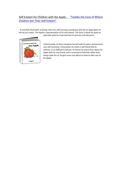# Self Esteem for Children with the Apple - "Tackles the Core of Where Children Get Their Self Esteem"

A colorfully illustrated, touching, story of a self-conscious young boy who has an Apple given to him by his creator. The Apple is representative of his self-esteem. The story is about his quest to deal with what he's learned from his parents and educators.



Unfortunately, he then compares himself with his peers and becomes very self-conscious. Fortunately, he meets a real friend that he admires. In an awkward moment, he shares his worse fears about his Apple with his new friend, and is surprised to find that rather than being made fun of, he gets some real advice on how to take care of his Apple.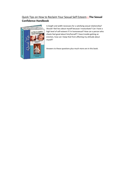# Quick Tips on How to Reclaim Your Sexual Self Esteem—**The Sexual Confidence Handbook**



Is length and width necessary for a satisfying sexual relationship? Should I feel less about myself because I masturbate? Can I have a high level of self-esteem if I'm homosexual? How can a person who cheats feel good about him/herself? I have trouble getting an erection, how can I keep that from affecting my attitude about myself?

Answers to these questions plus much more are in this book.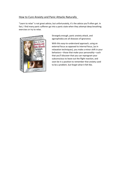# How to Cure Anxiety and Panic Attacks Naturally

"Learn to relax" is not great advice, but unfortunately, it's the advice you'll often get. In fact, I find many panic sufferers go into a panic state when they attempt deep breathing exercises or try to relax.



Strangely enough, panic anxiety attack, and agoraphobia are all diseases of ignorance.

With this easy-to-understand approach, using an external focus as opposed to internal focus, (as in relaxation techniques), you make a minor shift in your behaviors—those that make your personality—such that you'll discover that you can reprogram your subconscious to leave out the flight reaction, and soon be in a position to remember that anxiety used to be a problem, but forget what it felt like.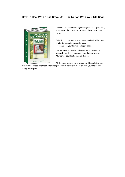# **How To Deal With a Bad Break Up—The Get on With Your Life Book**



"Why me, why now? I thought everything was going well," are some of the typical thoughts running through your mind.

Rejection from a breakup can leave you feeling like there is a bottomless pit in your stomach. It seems like you'll never be happy again.

Life is fraught with self-doubts and second-guessing yourself—maybe if you would have done so and so. Maybe you could get a second chance.

All the tools needed are provided by this book, towards

removing and repairing that bottomless pit. You will be able to move on with your life and be happy once again.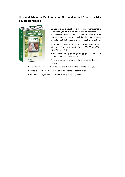# **How and Where to Meet Someone New and Special Now—The Meet a Mate Handbook.**



Being single has always been a challenge. Finding someone with whom you have chemistry. Where do you meet someone with whom to share your life? For those who like to meet someone in person, you'll find the tips of where and when to meet that person and how to get their attention.

For those who want to stop wasting time on the internet sites, you'll find down to earth tips on HOW TO MASTER INTERNET DATING:|

- First how to ditch psychological baggage that can "shoot your own foot" in a relationship.
- How to stop wasting time and write a profile that gets results.
- The value of photos, and how to post one that draws the opposite sex to you.
- Typical traps you can fall into which cost you time and aggravation.
- And then when you connect, tips on writing intriguing emails.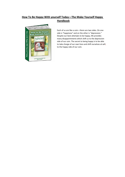# **How To Be Happy With yourself Today—The Make Yourself Happy Handbook**



Each of us are like a coin—there are two sides. On one side is "happiness" and on the other is "depression." Despite our best attempts to be happy, life provides many disappointments which shift us to the depression side of our coin. The secret to being happy is to be able to take charge of our own lives and shift ourselves at will, to the happy side of our coin.